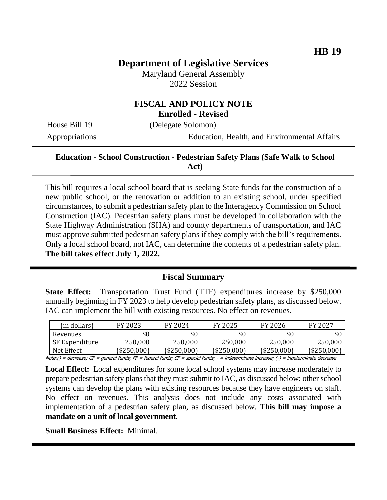# **Department of Legislative Services**

Maryland General Assembly 2022 Session

#### **FISCAL AND POLICY NOTE Enrolled - Revised**

House Bill 19 (Delegate Solomon)

Appropriations Education, Health, and Environmental Affairs

#### **Education - School Construction - Pedestrian Safety Plans (Safe Walk to School Act)**

This bill requires a local school board that is seeking State funds for the construction of a new public school, or the renovation or addition to an existing school, under specified circumstances, to submit a pedestrian safety plan to the Interagency Commission on School Construction (IAC). Pedestrian safety plans must be developed in collaboration with the State Highway Administration (SHA) and county departments of transportation, and IAC must approve submitted pedestrian safety plans if they comply with the bill's requirements. Only a local school board, not IAC, can determine the contents of a pedestrian safety plan. **The bill takes effect July 1, 2022.**

#### **Fiscal Summary**

**State Effect:** Transportation Trust Fund (TTF) expenditures increase by \$250,000 annually beginning in FY 2023 to help develop pedestrian safety plans, as discussed below. IAC can implement the bill with existing resources. No effect on revenues.

| (in dollars)   | FY 2023     | FY 2024     | FY 2025     | FY 2026     | FY 2027    |
|----------------|-------------|-------------|-------------|-------------|------------|
| Revenues       | \$0         | \$0         | \$0         |             |            |
| SF Expenditure | 250,000     | 250,000     | 250,000     | 250,000     | 250.000    |
| Net Effect     | (\$250,000) | (\$250,000) | (\$250,000) | (\$250,000) | (\$250,000 |

Note:() = decrease; GF = general funds; FF = federal funds; SF = special funds; - = indeterminate increase; (-) = indeterminate decrease

**Local Effect:** Local expenditures for some local school systems may increase moderately to prepare pedestrian safety plans that they must submit to IAC, as discussed below; other school systems can develop the plans with existing resources because they have engineers on staff. No effect on revenues. This analysis does not include any costs associated with implementation of a pedestrian safety plan, as discussed below. **This bill may impose a mandate on a unit of local government.**

**Small Business Effect:** Minimal.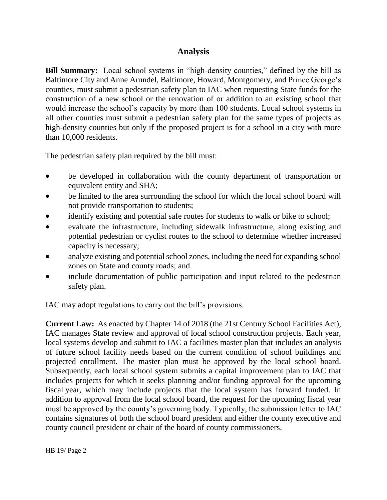## **Analysis**

**Bill Summary:** Local school systems in "high-density counties," defined by the bill as Baltimore City and Anne Arundel, Baltimore, Howard, Montgomery, and Prince George's counties, must submit a pedestrian safety plan to IAC when requesting State funds for the construction of a new school or the renovation of or addition to an existing school that would increase the school's capacity by more than 100 students. Local school systems in all other counties must submit a pedestrian safety plan for the same types of projects as high-density counties but only if the proposed project is for a school in a city with more than 10,000 residents.

The pedestrian safety plan required by the bill must:

- be developed in collaboration with the county department of transportation or equivalent entity and SHA;
- be limited to the area surrounding the school for which the local school board will not provide transportation to students;
- identify existing and potential safe routes for students to walk or bike to school;
- evaluate the infrastructure, including sidewalk infrastructure, along existing and potential pedestrian or cyclist routes to the school to determine whether increased capacity is necessary;
- analyze existing and potential school zones, including the need for expanding school zones on State and county roads; and
- include documentation of public participation and input related to the pedestrian safety plan.

IAC may adopt regulations to carry out the bill's provisions.

**Current Law:** As enacted by Chapter 14 of 2018 (the 21st Century School Facilities Act), IAC manages State review and approval of local school construction projects. Each year, local systems develop and submit to IAC a facilities master plan that includes an analysis of future school facility needs based on the current condition of school buildings and projected enrollment. The master plan must be approved by the local school board. Subsequently, each local school system submits a capital improvement plan to IAC that includes projects for which it seeks planning and/or funding approval for the upcoming fiscal year, which may include projects that the local system has forward funded. In addition to approval from the local school board, the request for the upcoming fiscal year must be approved by the county's governing body. Typically, the submission letter to IAC contains signatures of both the school board president and either the county executive and county council president or chair of the board of county commissioners.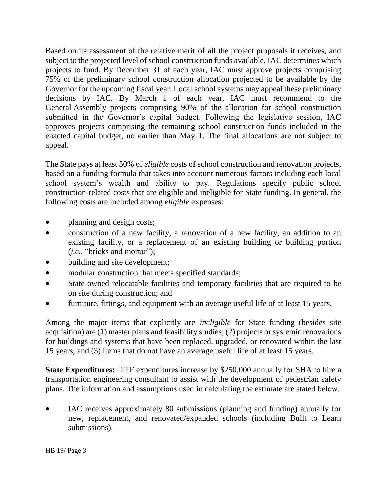Based on its assessment of the relative merit of all the project proposals it receives, and subject to the projected level of school construction funds available, IAC determines which projects to fund. By December 31 of each year, IAC must approve projects comprising 75% of the preliminary school construction allocation projected to be available by the Governor for the upcoming fiscal year. Local school systems may appeal these preliminary decisions by IAC. By March 1 of each year, IAC must recommend to the General Assembly projects comprising 90% of the allocation for school construction submitted in the Governor's capital budget. Following the legislative session, IAC approves projects comprising the remaining school construction funds included in the enacted capital budget, no earlier than May 1. The final allocations are not subject to appeal.

The State pays at least 50% of *eligible* costs of school construction and renovation projects, based on a funding formula that takes into account numerous factors including each local school system's wealth and ability to pay. Regulations specify public school construction-related costs that are eligible and ineligible for State funding. In general, the following costs are included among *eligible* expenses:

- planning and design costs;
- construction of a new facility, a renovation of a new facility, an addition to an existing facility, or a replacement of an existing building or building portion (*i.e.*, "bricks and mortar");
- building and site development;
- modular construction that meets specified standards;
- State-owned relocatable facilities and temporary facilities that are required to be on site during construction; and
- furniture, fittings, and equipment with an average useful life of at least 15 years.

Among the major items that explicitly are *ineligible* for State funding (besides site acquisition) are (1) master plans and feasibility studies; (2) projects or systemic renovations for buildings and systems that have been replaced, upgraded, or renovated within the last 15 years; and (3) items that do not have an average useful life of at least 15 years.

**State Expenditures:** TTF expenditures increase by \$250,000 annually for SHA to hire a transportation engineering consultant to assist with the development of pedestrian safety plans. The information and assumptions used in calculating the estimate are stated below.

 IAC receives approximately 80 submissions (planning and funding) annually for new, replacement, and renovated/expanded schools (including Built to Learn submissions).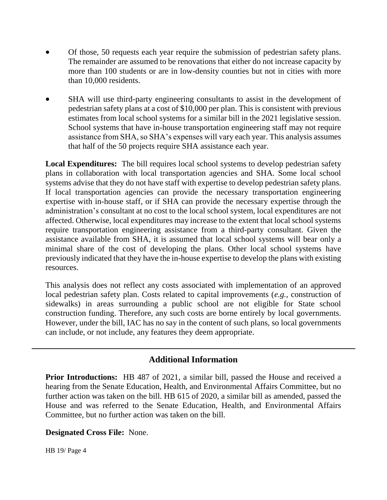- Of those, 50 requests each year require the submission of pedestrian safety plans. The remainder are assumed to be renovations that either do not increase capacity by more than 100 students or are in low-density counties but not in cities with more than 10,000 residents.
- SHA will use third-party engineering consultants to assist in the development of pedestrian safety plans at a cost of \$10,000 per plan. This is consistent with previous estimates from local school systems for a similar bill in the 2021 legislative session. School systems that have in-house transportation engineering staff may not require assistance from SHA, so SHA's expenses will vary each year. This analysis assumes that half of the 50 projects require SHA assistance each year.

**Local Expenditures:** The bill requires local school systems to develop pedestrian safety plans in collaboration with local transportation agencies and SHA. Some local school systems advise that they do not have staff with expertise to develop pedestrian safety plans. If local transportation agencies can provide the necessary transportation engineering expertise with in-house staff, or if SHA can provide the necessary expertise through the administration's consultant at no cost to the local school system, local expenditures are not affected. Otherwise, local expenditures may increase to the extent that local school systems require transportation engineering assistance from a third-party consultant. Given the assistance available from SHA, it is assumed that local school systems will bear only a minimal share of the cost of developing the plans. Other local school systems have previously indicated that they have the in-house expertise to develop the plans with existing resources.

This analysis does not reflect any costs associated with implementation of an approved local pedestrian safety plan. Costs related to capital improvements (*e.g.*, construction of sidewalks) in areas surrounding a public school are not eligible for State school construction funding. Therefore, any such costs are borne entirely by local governments. However, under the bill, IAC has no say in the content of such plans, so local governments can include, or not include, any features they deem appropriate.

## **Additional Information**

**Prior Introductions:** HB 487 of 2021, a similar bill, passed the House and received a hearing from the Senate Education, Health, and Environmental Affairs Committee, but no further action was taken on the bill. HB 615 of 2020, a similar bill as amended, passed the House and was referred to the Senate Education, Health, and Environmental Affairs Committee, but no further action was taken on the bill.

#### **Designated Cross File:** None.

HB 19/ Page 4